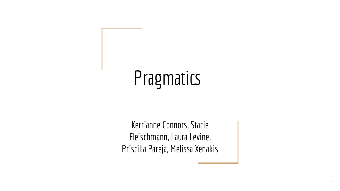# **Pragmatics**

Kerrianne Connors, Stacie Fleischmann, Laura Levine, Priscilla Pareja, Melissa Xenakis

1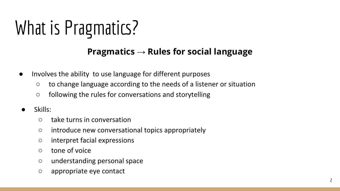# What is Pragmatics?

### **Pragmatics → Rules for social language**

- Involves the ability to use language for different purposes
	- to change language according to the needs of a listener or situation
	- following the rules for conversations and storytelling
- Skills:
	- take turns in conversation
	- introduce new conversational topics appropriately
	- interpret facial expressions
	- tone of voice
	- understanding personal space
	- appropriate eye contact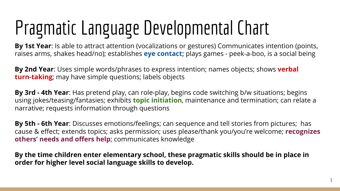# Pragmatic Language Developmental Chart

**By 1st Year**: Is able to attract attention (vocalizations or gestures) Communicates intention (points, raises arms, shakes head/no); establishes **eye contact;** plays games - peek-a-boo, is a social being

**By 2nd Year**: Uses simple words/phrases to express intention; names objects; shows **verbal turn-taking**; may have simple questions; labels objects

**By 3rd - 4th Year**: Has pretend play, can role-play, begins code switching b/w situations; begins using jokes/teasing/fantasies; exhibits **topic initiation**, maintenance and termination; can relate a narrative; requests information through questions

**By 5th - 6th Year**: Discusses emotions/feelings; can sequence and tell stories from pictures; has cause & effect; extends topics; asks permission; uses please/thank you/you're welcome; **recognizes others' needs and offers help**; communicates knowledge

**By the time children enter elementary school, these pragmatic skills should be in place in order for higher level social language skills to develop.**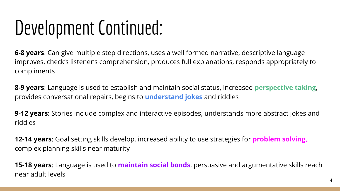## Development Continued:

**6-8 years**: Can give multiple step directions, uses a well formed narrative, descriptive language improves, check's listener's comprehension, produces full explanations, responds appropriately to compliments

**8-9 years**: Language is used to establish and maintain social status, increased **perspective taking**, provides conversational repairs, begins to **understand jokes** and riddles

**9-12 years**: Stories include complex and interactive episodes, understands more abstract jokes and riddles

**12-14 years**: Goal setting skills develop, increased ability to use strategies for **problem solving,** complex planning skills near maturity

**15-18 years**: Language is used to **maintain social bonds**, persuasive and argumentative skills reach near adult levels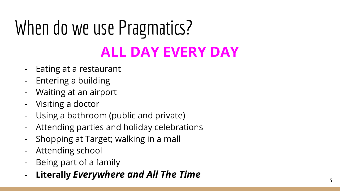## When do we use Pragmatics? **ALL DAY EVERY DAY**

- Eating at a restaurant
- Entering a building
- Waiting at an airport
- Visiting a doctor
- Using a bathroom (public and private)
- Attending parties and holiday celebrations
- Shopping at Target; walking in a mall
- Attending school
- 
- Being part of a family **Literally** *Everywhere and All The Time*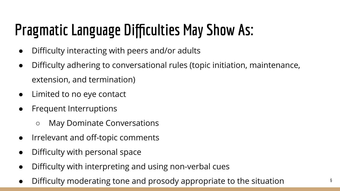### **Pragmatic Language Difficulties May Show As:**

- Difficulty interacting with peers and/or adults
- Difficulty adhering to conversational rules (topic initiation, maintenance, extension, and termination)
- Limited to no eye contact
- Frequent Interruptions
	- May Dominate Conversations
- Irrelevant and off-topic comments
- Difficulty with personal space
- Difficulty with interpreting and using non-verbal cues
- Difficulty moderating tone and prosody appropriate to the situation  $6<sup>6</sup>$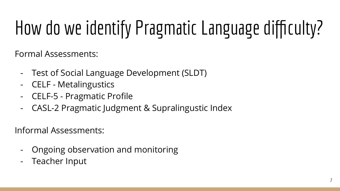# How do we identify Pragmatic Language difficulty?

Formal Assessments:

- Test of Social Language Development (SLDT)
- CELF Metalingustics
- CELF-5 Pragmatic Profile
- CASL-2 Pragmatic Judgment & Supralingustic Index

Informal Assessments:

- Ongoing observation and monitoring
- Teacher Input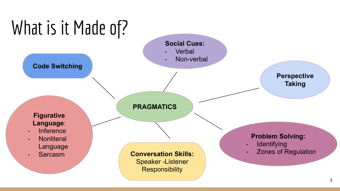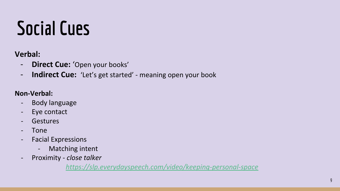## **Social Cues**

### **Verbal:**

- **Direct Cue:** 'Open your books'
- **Indirect Cue:** 'Let's get started' meaning open your book

#### **Non-Verbal:**

- Body language
- Eye contact
- Gestures
- Tone
- Facial Expressions
	- Matching intent
- Proximity *close talker*

*<https://slp.everydayspeech.com/video/keeping-personal-space>*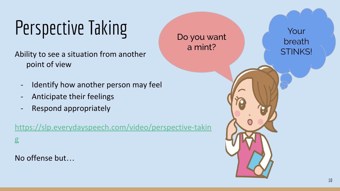# Perspective Taking

Ability to see a situation from another point of view

- Identify how another person may feel
- Anticipate their feelings
- Respond appropriately

[https://slp.everydayspeech.com/video/perspective-takin](https://slp.everydayspeech.com/video/perspective-taking) [g](https://slp.everydayspeech.com/video/perspective-taking)

No offense but…

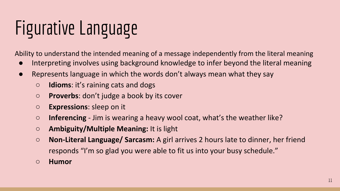# Figurative Language

Ability to understand the intended meaning of a message independently from the literal meaning

- Interpreting involves using background knowledge to infer beyond the literal meaning
- Represents language in which the words don't always mean what they say
	- **Idioms**: it's raining cats and dogs
	- **Proverbs**: don't judge a book by its cover
	- **Expressions**: sleep on it
	- **Inferencing** Jim is wearing a heavy wool coat, what's the weather like?
	- **Ambiguity/Multiple Meaning:** It is light
	- **Non-Literal Language/ Sarcasm:** A girl arrives 2 hours late to dinner, her friend responds "I'm so glad you were able to fit us into your busy schedule."
	- **○ Humor**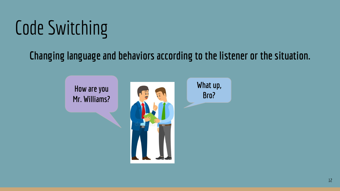# Code Switching

### **Changing language and behaviors according to the listener or the situation.**

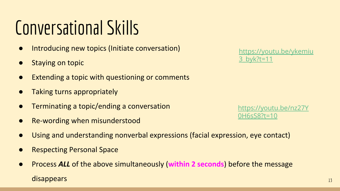### Conversational Skills

- Introducing new topics (Initiate conversation)
- **Staying on topic**
- Extending a topic with questioning or comments
- Taking turns appropriately
- Terminating a topic/ending a conversation
- **Re-wording when misunderstood**
- Using and understanding nonverbal expressions (facial expression, eye contact)
- **Respecting Personal Space**
- Process *ALL* of the above simultaneously (**within 2 seconds**) before the message disappears

[https://youtu.be/ykemiu](https://youtu.be/ykemiu3_byk?t=11) [3\\_byk?t=11](https://youtu.be/ykemiu3_byk?t=11)

[https://youtu.be/nz27Y](https://youtu.be/nz27Y0H6sS8?t=10) [0H6sS8?t=10](https://youtu.be/nz27Y0H6sS8?t=10)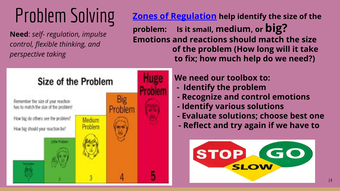## Problem Solving

**Need**: *self- regulation, impulse control, flexible thinking, and perspective taking*

**Zones of Regulation help identify the size of the problem: Is it small, medium, or big? Emotions and reactions should match the size of the problem (How long will it take to fix; how much help do we need?)** 



### **We need our toolbox to:**

- **Identify the problem**
- **Recognize and control emotions**
- **Identify various solutions**
- **Evaluate solutions; choose best one**
- **Reflect and try again if we have to**

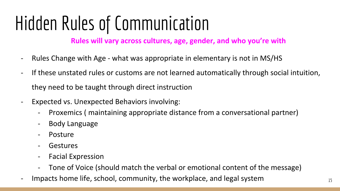## Hidden Rules of Communication

**Rules will vary across cultures, age, gender, and who you're with**

- Rules Change with Age what was appropriate in elementary is not in MS/HS
- If these unstated rules or customs are not learned automatically through social intuition, they need to be taught through direct instruction
- Expected vs. Unexpected Behaviors involving:
	- Proxemics ( maintaining appropriate distance from a conversational partner)
	- Body Language
	- **Posture**
	- **Gestures**
	- Facial Expression
	- Tone of Voice (should match the verbal or emotional content of the message)
- Impacts home life, school, community, the workplace, and legal system 15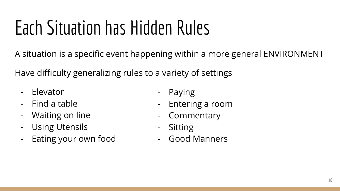## Each Situation has Hidden Rules

A situation is a specific event happening within a more general ENVIRONMENT

Have difficulty generalizing rules to a variety of settings

- Elevator
- Find a table
- Waiting on line
- Using Utensils
- Eating your own food
- Paying
- Entering a room
- Commentary
- Sitting
- Good Manners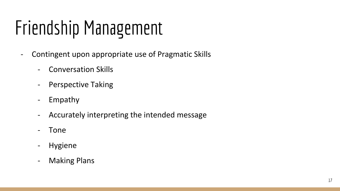# Friendship Management

- Contingent upon appropriate use of Pragmatic Skills
	- Conversation Skills
	- Perspective Taking
	- Empathy
	- Accurately interpreting the intended message
	- Tone
	- Hygiene
	- Making Plans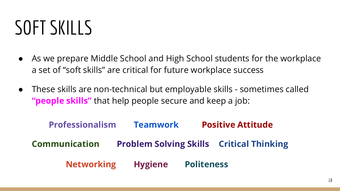## SOFT SKILLS

- As we prepare Middle School and High School students for the workplace a set of "soft skills" are critical for future workplace success
- These skills are non-technical but employable skills sometimes called **"people skills"** that help people secure and keep a job:

**Professionalism Teamwork Positive Attitude Communication Problem Solving Skills Critical Thinking Networking Hygiene Politeness**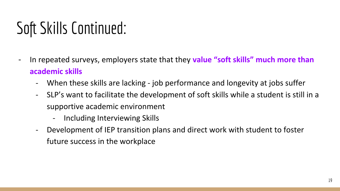### Soft Skills Continued:

- In repeated surveys, employers state that they **value "soft skills" much more than academic skills**
	- When these skills are lacking job performance and longevity at jobs suffer
	- SLP's want to facilitate the development of soft skills while a student is still in a supportive academic environment
		- Including Interviewing Skills
	- Development of IEP transition plans and direct work with student to foster future success in the workplace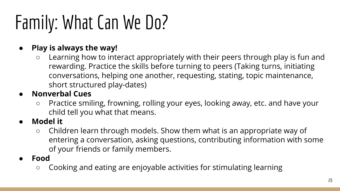# Family: What Can We Do?

### **● Play is always the way!**

○ Learning how to interact appropriately with their peers through play is fun and rewarding. Practice the skills before turning to peers (Taking turns, initiating conversations, helping one another, requesting, stating, topic maintenance, short structured play-dates)

### **● Nonverbal Cues**

- Practice smiling, frowning, rolling your eyes, looking away, etc. and have your child tell you what that means.
- **● Model it**
	- Children learn through models. Show them what is an appropriate way of entering a conversation, asking questions, contributing information with some of your friends or family members.
- **Food**
	- Cooking and eating are enjoyable activities for stimulating learning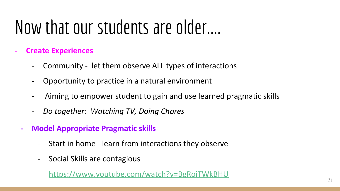### Now that our students are older....

- **- Create Experiences**
	- Community let them observe ALL types of interactions
	- Opportunity to practice in a natural environment
	- Aiming to empower student to gain and use learned pragmatic skills
	- *- Do together: Watching TV, Doing Chores*
	- **- Model Appropriate Pragmatic skills**
		- Start in home learn from interactions they observe
		- Social Skills are contagious

<https://www.youtube.com/watch?v=BgRoiTWkBHU>